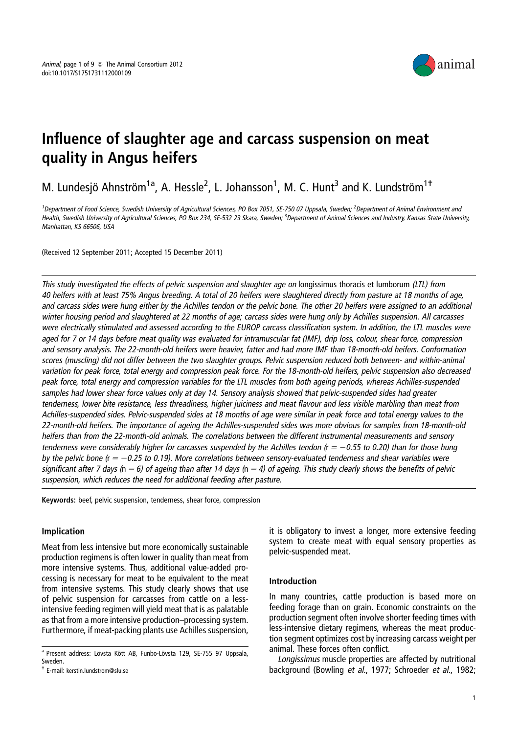

# Influence of slaughter age and carcass suspension on meat quality in Angus heifers

M. Lundesjö Ahnström<sup>1a</sup>, A. Hessle<sup>2</sup>, L. Johansson<sup>1</sup>, M. C. Hunt<sup>3</sup> and K. Lundström<sup>1†</sup>

<sup>1</sup>Department of Food Science, Swedish University of Agricultural Sciences, PO Box 7051, SE-750 07 Uppsala, Sweden; <sup>2</sup>Department of Animal Environment and Health, Swedish University of Agricultural Sciences, PO Box 234, SE-532 23 Skara, Sweden; <sup>3</sup>Department of Animal Sciences and Industry, Kansas State University, Manhattan, KS 66506, USA

(Received 12 September 2011; Accepted 15 December 2011)

This study investigated the effects of pelvic suspension and slaughter age on longissimus thoracis et lumborum (LTL) from 40 heifers with at least 75% Angus breeding. A total of 20 heifers were slaughtered directly from pasture at 18 months of age, and carcass sides were hung either by the Achilles tendon or the pelvic bone. The other 20 heifers were assigned to an additional winter housing period and slaughtered at 22 months of age; carcass sides were hung only by Achilles suspension. All carcasses were electrically stimulated and assessed according to the EUROP carcass classification system. In addition, the LTL muscles were aged for 7 or 14 days before meat quality was evaluated for intramuscular fat (IMF), drip loss, colour, shear force, compression and sensory analysis. The 22-month-old heifers were heavier, fatter and had more IMF than 18-month-old heifers. Conformation scores (muscling) did not differ between the two slaughter groups. Pelvic suspension reduced both between- and within-animal variation for peak force, total energy and compression peak force. For the 18-month-old heifers, pelvic suspension also decreased peak force, total energy and compression variables for the LTL muscles from both ageing periods, whereas Achilles-suspended samples had lower shear force values only at day 14. Sensory analysis showed that pelvic-suspended sides had greater tenderness, lower bite resistance, less threadiness, higher juiciness and meat flavour and less visible marbling than meat from Achilles-suspended sides. Pelvic-suspended sides at 18 months of age were similar in peak force and total energy values to the 22-month-old heifers. The importance of ageing the Achilles-suspended sides was more obvious for samples from 18-month-old heifers than from the 22-month-old animals. The correlations between the different instrumental measurements and sensory tenderness were considerably higher for carcasses suspended by the Achilles tendon ( $r = -0.55$  to 0.20) than for those hung by the pelvic bone ( $r = -0.25$  to 0.19). More correlations between sensory-evaluated tenderness and shear variables were significant after 7 days ( $n = 6$ ) of ageing than after 14 days ( $n = 4$ ) of ageing. This study clearly shows the benefits of pelvic suspension, which reduces the need for additional feeding after pasture.

Keywords: beef, pelvic suspension, tenderness, shear force, compression

# Implication

Meat from less intensive but more economically sustainable production regimens is often lower in quality than meat from more intensive systems. Thus, additional value-added processing is necessary for meat to be equivalent to the meat from intensive systems. This study clearly shows that use of pelvic suspension for carcasses from cattle on a lessintensive feeding regimen will yield meat that is as palatable as that from a more intensive production–processing system. Furthermore, if meat-packing plants use Achilles suspension,

it is obligatory to invest a longer, more extensive feeding system to create meat with equal sensory properties as pelvic-suspended meat.

## Introduction

In many countries, cattle production is based more on feeding forage than on grain. Economic constraints on the production segment often involve shorter feeding times with less-intensive dietary regimens, whereas the meat production segment optimizes cost by increasing carcass weight per animal. These forces often conflict.

Longissimus muscle properties are affected by nutritional background (Bowling et al., 1977; Schroeder et al., 1982;

a Present address: Lövsta Kött AB, Funbo-Lövsta 129, SE-755 97 Uppsala, Sweden.

<sup>-</sup> E-mail: kerstin.lundstrom@slu.se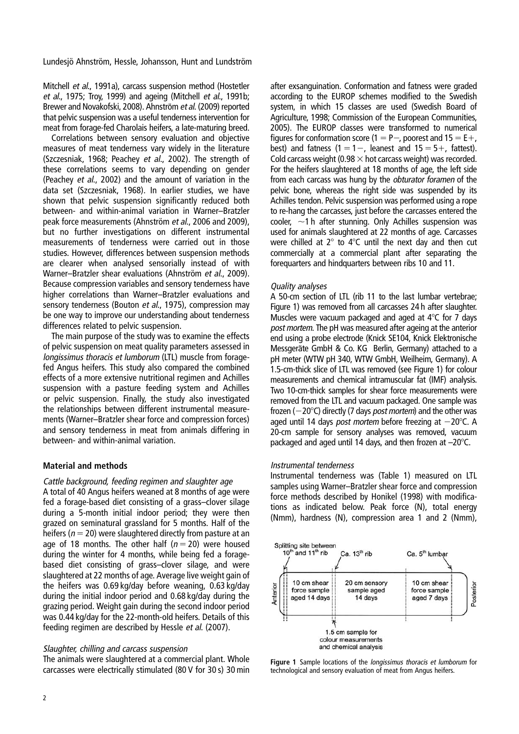Mitchell et al., 1991a), carcass suspension method (Hostetler et al., 1975; Troy, 1999) and ageing (Mitchell et al., 1991b; Brewer and Novakofski, 2008). Ahnström et al. (2009) reported that pelvic suspension was a useful tenderness intervention for meat from forage-fed Charolais heifers, a late-maturing breed.

Correlations between sensory evaluation and objective measures of meat tenderness vary widely in the literature (Szczesniak, 1968; Peachey et al., 2002). The strength of these correlations seems to vary depending on gender (Peachey et al., 2002) and the amount of variation in the data set (Szczesniak, 1968). In earlier studies, we have shown that pelvic suspension significantly reduced both between- and within-animal variation in Warner–Bratzler peak force measurements (Ahnström et al., 2006 and 2009), but no further investigations on different instrumental measurements of tenderness were carried out in those studies. However, differences between suspension methods are clearer when analysed sensorially instead of with Warner–Bratzler shear evaluations (Ahnström et al., 2009). Because compression variables and sensory tenderness have higher correlations than Warner–Bratzler evaluations and sensory tenderness (Bouton et al., 1975), compression may be one way to improve our understanding about tenderness differences related to pelvic suspension.

The main purpose of the study was to examine the effects of pelvic suspension on meat quality parameters assessed in longissimus thoracis et lumborum (LTL) muscle from foragefed Angus heifers. This study also compared the combined effects of a more extensive nutritional regimen and Achilles suspension with a pasture feeding system and Achilles or pelvic suspension. Finally, the study also investigated the relationships between different instrumental measurements (Warner–Bratzler shear force and compression forces) and sensory tenderness in meat from animals differing in between- and within-animal variation.

# Material and methods

Cattle background, feeding regimen and slaughter age A total of 40 Angus heifers weaned at 8 months of age were fed a forage-based diet consisting of a grass–clover silage during a 5-month initial indoor period; they were then grazed on seminatural grassland for 5 months. Half of the heifers ( $n = 20$ ) were slaughtered directly from pasture at an age of 18 months. The other half ( $n = 20$ ) were housed during the winter for 4 months, while being fed a foragebased diet consisting of grass–clover silage, and were slaughtered at 22 months of age. Average live weight gain of the heifers was 0.69 kg/day before weaning, 0.63 kg/day during the initial indoor period and 0.68 kg/day during the grazing period. Weight gain during the second indoor period was 0.44 kg/day for the 22-month-old heifers. Details of this feeding regimen are described by Hessle et al. (2007).

# Slaughter, chilling and carcass suspension

The animals were slaughtered at a commercial plant. Whole carcasses were electrically stimulated (80 V for 30 s) 30 min

after exsanguination. Conformation and fatness were graded according to the EUROP schemes modified to the Swedish system, in which 15 classes are used (Swedish Board of Agriculture, 1998; Commission of the European Communities, 2005). The EUROP classes were transformed to numerical figures for conformation score (1 = P-, poorest and 15 = E+, best) and fatness  $(1 = 1 -$ , leanest and  $15 = 5 +$ , fattest). Cold carcass weight (0.98  $\times$  hot carcass weight) was recorded. For the heifers slaughtered at 18 months of age, the left side from each carcass was hung by the obturator foramen of the pelvic bone, whereas the right side was suspended by its Achilles tendon. Pelvic suspension was performed using a rope to re-hang the carcasses, just before the carcasses entered the cooler,  $\sim$ 1 h after stunning. Only Achilles suspension was used for animals slaughtered at 22 months of age. Carcasses were chilled at  $2^{\circ}$  to  $4^{\circ}$ C until the next day and then cut commercially at a commercial plant after separating the forequarters and hindquarters between ribs 10 and 11.

## Quality analyses

A 50-cm section of LTL (rib 11 to the last lumbar vertebrae; Figure 1) was removed from all carcasses 24 h after slaughter. Muscles were vacuum packaged and aged at  $4^{\circ}$ C for 7 days post mortem. The pH was measured after ageing at the anterior end using a probe electrode (Knick SE104, Knick Elektronische Messgeräte GmbH & Co. KG Berlin, Germany) attached to a pH meter (WTW pH 340, WTW GmbH, Weilheim, Germany). A 1.5-cm-thick slice of LTL was removed (see Figure 1) for colour measurements and chemical intramuscular fat (IMF) analysis. Two 10-cm-thick samples for shear force measurements were removed from the LTL and vacuum packaged. One sample was frozen ( $-20^{\circ}$ C) directly (7 days *post mortem*) and the other was aged until 14 days *post mortem* before freezing at  $-20^{\circ}$ C. A 20-cm sample for sensory analyses was removed, vacuum packaged and aged until 14 days, and then frozen at  $-20^{\circ}$ C.

## Instrumental tenderness

Instrumental tenderness was (Table 1) measured on LTL samples using Warner–Bratzler shear force and compression force methods described by Honikel (1998) with modifications as indicated below. Peak force (N), total energy (Nmm), hardness (N), compression area 1 and 2 (Nmm),



Figure 1 Sample locations of the *longissimus thoracis et lumborum* for technological and sensory evaluation of meat from Angus heifers.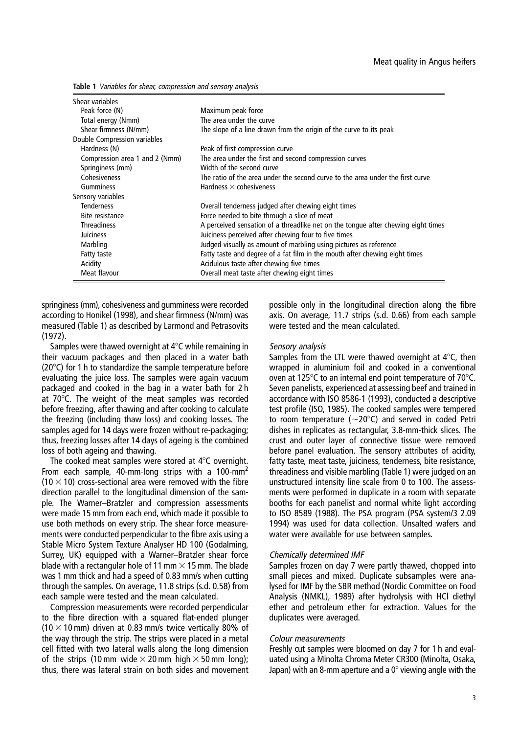Table 1 Variables for shear, compression and sensory analysis

| Shear variables<br>Peak force (N)<br>Total energy (Nmm)<br>Shear firmness (N/mm) | Maximum peak force<br>The area under the curve<br>The slope of a line drawn from the origin of the curve to its peak |
|----------------------------------------------------------------------------------|----------------------------------------------------------------------------------------------------------------------|
| Double Compression variables                                                     |                                                                                                                      |
| Hardness (N)                                                                     | Peak of first compression curve                                                                                      |
| Compression area 1 and 2 (Nmm)                                                   | The area under the first and second compression curves                                                               |
| Springiness (mm)                                                                 | Width of the second curve                                                                                            |
| Cohesiveness                                                                     | The ratio of the area under the second curve to the area under the first curve                                       |
| Gumminess                                                                        | Hardness $\times$ cohesiveness                                                                                       |
| Sensory variables                                                                |                                                                                                                      |
| <b>Tenderness</b>                                                                | Overall tenderness judged after chewing eight times                                                                  |
| Bite resistance                                                                  | Force needed to bite through a slice of meat                                                                         |
| <b>Threadiness</b>                                                               | A perceived sensation of a threadlike net on the tongue after chewing eight times                                    |
| Juiciness                                                                        | Juiciness perceived after chewing four to five times                                                                 |
| Marbling                                                                         | Judged visually as amount of marbling using pictures as reference                                                    |
| Fatty taste                                                                      | Fatty taste and degree of a fat film in the mouth after chewing eight times                                          |
| Acidity                                                                          | Acidulous taste after chewing five times                                                                             |
| Meat flavour                                                                     | Overall meat taste after chewing eight times                                                                         |

springiness (mm), cohesiveness and gumminess were recorded according to Honikel (1998), and shear firmness (N/mm) was measured (Table 1) as described by Larmond and Petrasovits (1972).

Samples were thawed overnight at  $4^{\circ}$ C while remaining in their vacuum packages and then placed in a water bath ( $20^{\circ}$ C) for 1 h to standardize the sample temperature before evaluating the juice loss. The samples were again vacuum packaged and cooked in the bag in a water bath for 2 h at  $70^{\circ}$ C. The weight of the meat samples was recorded before freezing, after thawing and after cooking to calculate the freezing (including thaw loss) and cooking losses. The samples aged for 14 days were frozen without re-packaging; thus, freezing losses after 14 days of ageing is the combined loss of both ageing and thawing.

The cooked meat samples were stored at  $4^{\circ}$ C overnight. From each sample, 40-mm-long strips with a 100-mm<sup>2</sup>  $(10 \times 10)$  cross-sectional area were removed with the fibre direction parallel to the longitudinal dimension of the sample. The Warner–Bratzler and compression assessments were made 15 mm from each end, which made it possible to use both methods on every strip. The shear force measurements were conducted perpendicular to the fibre axis using a Stable Micro System Texture Analyser HD 100 (Godalming, Surrey, UK) equipped with a Warner–Bratzler shear force blade with a rectangular hole of 11 mm  $\times$  15 mm. The blade was 1 mm thick and had a speed of 0.83 mm/s when cutting through the samples. On average, 11.8 strips (s.d. 0.58) from each sample were tested and the mean calculated.

Compression measurements were recorded perpendicular to the fibre direction with a squared flat-ended plunger (10  $\times$  10 mm) driven at 0.83 mm/s twice vertically 80% of the way through the strip. The strips were placed in a metal cell fitted with two lateral walls along the long dimension of the strips (10 mm wide  $\times$  20 mm high  $\times$  50 mm long); thus, there was lateral strain on both sides and movement possible only in the longitudinal direction along the fibre axis. On average, 11.7 strips (s.d. 0.66) from each sample were tested and the mean calculated.

#### Sensory analysis

Samples from the LTL were thawed overnight at  $4^{\circ}$ C, then wrapped in aluminium foil and cooked in a conventional oven at 125 $\degree$ C to an internal end point temperature of 70 $\degree$ C. Seven panelists, experienced at assessing beef and trained in accordance with ISO 8586-1 (1993), conducted a descriptive test profile (ISO, 1985). The cooked samples were tempered to room temperature ( $\sim$ 20 $^{\circ}$ C) and served in coded Petri dishes in replicates as rectangular, 3.8-mm-thick slices. The crust and outer layer of connective tissue were removed before panel evaluation. The sensory attributes of acidity, fatty taste, meat taste, juiciness, tenderness, bite resistance, threadiness and visible marbling (Table 1) were judged on an unstructured intensity line scale from 0 to 100. The assessments were performed in duplicate in a room with separate booths for each panelist and normal white light according to ISO 8589 (1988). The PSA program (PSA system/3 2.09 1994) was used for data collection. Unsalted wafers and water were available for use between samples.

#### Chemically determined IMF

Samples frozen on day 7 were partly thawed, chopped into small pieces and mixed. Duplicate subsamples were analysed for IMF by the SBR method (Nordic Committee on Food Analysis (NMKL), 1989) after hydrolysis with HCl diethyl ether and petroleum ether for extraction. Values for the duplicates were averaged.

#### Colour measurements

Freshly cut samples were bloomed on day 7 for 1 h and evaluated using a Minolta Chroma Meter CR300 (Minolta, Osaka, Japan) with an 8-mm aperture and a  $0^\circ$  viewing angle with the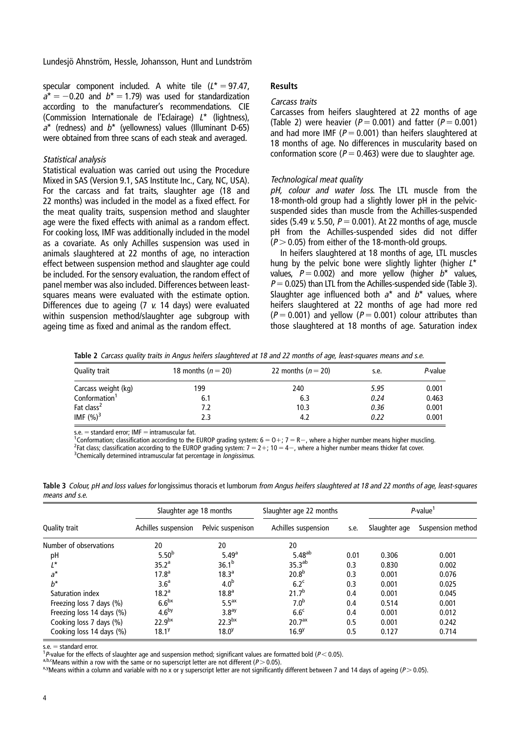specular component included. A white tile  $(L^* = 97.47,$  $a^* = -0.20$  and  $b^* = 1.79$  was used for standardization according to the manufacturer's recommendations. CIE (Commission Internationale de l'Eclairage) <sup>L</sup>\* (lightness),  $a^*$  (redness) and  $b^*$  (yellowness) values (Illuminant D-65) were obtained from three scans of each steak and averaged.

## Statistical analysis

Statistical evaluation was carried out using the Procedure Mixed in SAS (Version 9.1, SAS Institute Inc., Cary, NC, USA). For the carcass and fat traits, slaughter age (18 and 22 months) was included in the model as a fixed effect. For the meat quality traits, suspension method and slaughter age were the fixed effects with animal as a random effect. For cooking loss, IMF was additionally included in the model as a covariate. As only Achilles suspension was used in animals slaughtered at 22 months of age, no interaction effect between suspension method and slaughter age could be included. For the sensory evaluation, the random effect of panel member was also included. Differences between leastsquares means were evaluated with the estimate option. Differences due to ageing (7 <sup>v</sup>. 14 days) were evaluated within suspension method/slaughter age subgroup with ageing time as fixed and animal as the random effect.

## Results

## Carcass traits

Carcasses from heifers slaughtered at 22 months of age (Table 2) were heavier ( $P = 0.001$ ) and fatter ( $P = 0.001$ ) and had more IMF ( $P = 0.001$ ) than heifers slaughtered at 18 months of age. No differences in muscularity based on conformation score ( $P = 0.463$ ) were due to slaughter age.

## Technological meat quality

pH, colour and water loss. The LTL muscle from the 18-month-old group had a slightly lower pH in the pelvicsuspended sides than muscle from the Achilles-suspended sides (5.49 v. 5.50,  $P = 0.001$ ). At 22 months of age, muscle pH from the Achilles-suspended sides did not differ  $(P > 0.05)$  from either of the 18-month-old groups.

In heifers slaughtered at 18 months of age, LTL muscles hung by the pelvic bone were slightly lighter (higher  $L^*$ values,  $P = 0.002$ ) and more yellow (higher  $b^*$  values,  $P = 0.025$ ) than LTL from the Achilles-suspended side (Table 3). Slaughter age influenced both  $a^*$  and  $b^*$  values, where heifers slaughtered at 22 months of age had more red  $(P = 0.001)$  and yellow  $(P = 0.001)$  colour attributes than those slaughtered at 18 months of age. Saturation index

Table 2 Carcass quality traits in Angus heifers slaughtered at 18 and 22 months of age, least-squares means and s.e.

| Quality trait             | 18 months ( $n = 20$ ) | 22 months ( $n = 20$ ) | s.e. | P-value |  |
|---------------------------|------------------------|------------------------|------|---------|--|
| Carcass weight (kg)       | 199                    | 240                    | 5.95 | 0.001   |  |
| Conformation <sup>1</sup> | 6.1                    | 6.3                    | 0.24 | 0.463   |  |
| Fat class <sup>2</sup>    | 7.2                    | 10.3                   | 0.36 | 0.001   |  |
| IMF $(%)^3$               | 2.3                    | 4.2                    | 0.22 | 0.001   |  |

 $s.e. = standard error$ ; IMF  $=$  intramuscular fat.

<sup>1</sup>Conformation; classification according to the EUROP grading system:  $6 = 0 +$ ;  $7 = R -$ , where a higher number means higher muscling. <sup>2</sup> Fat class; classification according to the EUROP grading system:  $7 = 2 + 10 = 4 -$ , where a higher number means thicker fat cover.

<sup>3</sup>Chemically determined intramuscular fat percentage in *longissimus*.

Table 3 Colour, pH and loss values for longissimus thoracis et lumborum from Angus heifers slaughtered at 18 and 22 months of age, least-squares

| Quality trait             | Slaughter age 18 months |                    | Slaughter age 22 months |      | P-value <sup>1</sup> |                   |
|---------------------------|-------------------------|--------------------|-------------------------|------|----------------------|-------------------|
|                           | Achilles suspension     | Pelvic suspenison  | Achilles suspension     | s.e. | Slaughter age        | Suspension method |
| Number of observations    | 20                      | 20                 | 20                      |      |                      |                   |
| pH                        | $5.50^{b}$              | $5.49^{a}$         | $5.48^{ab}$             | 0.01 | 0.306                | 0.001             |
| $I^*$                     | 35.2 <sup>a</sup>       | $36.1^{b}$         | 35.3 <sup>ab</sup>      | 0.3  | 0.830                | 0.002             |
| $a^*$                     | 17.8 <sup>a</sup>       | 18.3 <sup>a</sup>  | 20.8 <sup>b</sup>       | 0.3  | 0.001                | 0.076             |
| $h^*$                     | 3.6 <sup>a</sup>        | 4.0 <sup>b</sup>   | 6.2 <sup>c</sup>        | 0.3  | 0.001                | 0.025             |
| Saturation index          | 18.2 <sup>a</sup>       | 18.8 <sup>a</sup>  | 21.7 <sup>b</sup>       | 0.4  | 0.001                | 0.045             |
| Freezing loss 7 days (%)  | 6.6 <sup>bx</sup>       | 5.5 <sup>ax</sup>  | 7.0 <sup>b</sup>        | 0.4  | 0.514                | 0.001             |
| Freezing loss 14 days (%) | 4.6 <sup>by</sup>       | 3.8 <sup>ay</sup>  | 6.6 <sup>c</sup>        | 0.4  | 0.001                | 0.012             |
| Cooking loss 7 days (%)   | 22.9 <sup>bx</sup>      | 22.3 <sup>bx</sup> | 20.7 <sup>ax</sup>      | 0.5  | 0.001                | 0.242             |
| Cooking loss 14 days (%)  | 18.1 <sup>y</sup>       | $18.0^{y}$         | 16.9 <sup>y</sup>       | 0.5  | 0.127                | 0.714             |

means and s.e.

s.e. = standard error.<br><sup>1</sup> P-value for the effects of slaughter age and suspension method; significant values are formatted bold (P < 0.05).

a,b, Cheans within a row with the same or no superscript letter are not different (P > 0.05).<br>A,b, Means within a row with the same or no superscript letter are not different (P > 0.05).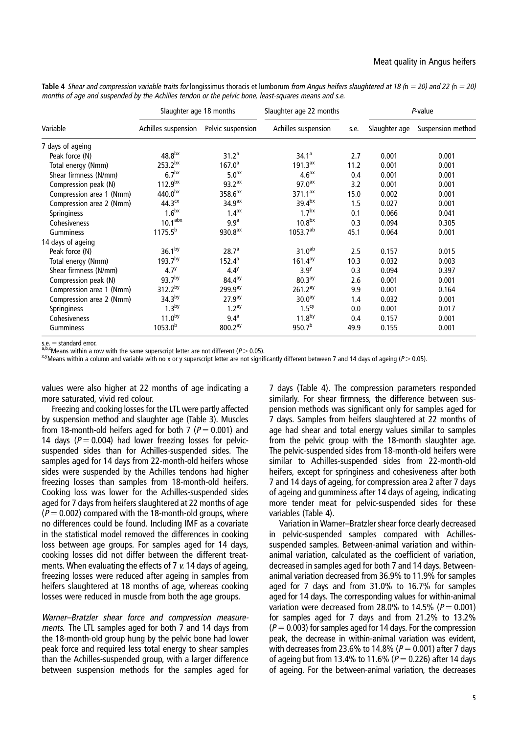|                          | Slaughter age 18 months                  |                     | Slaughter age 22 months |      | P-value       |                   |
|--------------------------|------------------------------------------|---------------------|-------------------------|------|---------------|-------------------|
| Variable                 | Achilles suspension<br>Pelvic suspension |                     | Achilles suspension     | s.e. | Slaughter age | Suspension method |
| 7 days of ageing         |                                          |                     |                         |      |               |                   |
| Peak force (N)           | 48.8 <sup>bx</sup>                       | 31.2 <sup>a</sup>   | 34.1 <sup>a</sup>       | 2.7  | 0.001         | 0.001             |
| Total energy (Nmm)       | 253.2 <sup>bx</sup>                      | $167.0^{\circ}$     | $191.3^{ax}$            | 11.2 | 0.001         | 0.001             |
| Shear firmness (N/mm)    | 6.7 <sup>bx</sup>                        | 5.0 <sup>ax</sup>   | 4.6 <sup>ax</sup>       | 0.4  | 0.001         | 0.001             |
| Compression peak (N)     | 112.9 <sup>bx</sup>                      | 93.2 <sup>ax</sup>  | 97.0 <sup>ax</sup>      | 3.2  | 0.001         | 0.001             |
| Compression area 1 (Nmm) | 440.0 <sup>bx</sup>                      | 358.6 <sup>ax</sup> | $371.1^{ax}$            | 15.0 | 0.002         | 0.001             |
| Compression area 2 (Nmm) | 44.3 <sup>cx</sup>                       | 34.9 <sup>ax</sup>  | 39.4 <sup>bx</sup>      | 1.5  | 0.027         | 0.001             |
| Springiness              | 1.6 <sup>bx</sup>                        | 1.4 <sup>ax</sup>   | 1.7 <sup>bx</sup>       | 0.1  | 0.066         | 0.041             |
| Cohesiveness             | 10.1 <sup>abx</sup>                      | 9.9 <sup>a</sup>    | 10.8 <sup>bx</sup>      | 0.3  | 0.094         | 0.305             |
| <b>Gumminess</b>         | $1175.5^{b}$                             | 930.8 <sup>ax</sup> | $1053.7^{ab}$           | 45.1 | 0.064         | 0.001             |
| 14 days of ageing        |                                          |                     |                         |      |               |                   |
| Peak force (N)           | 36.1 <sup>by</sup>                       | 28.7 <sup>a</sup>   | 31.0 <sup>ab</sup>      | 2.5  | 0.157         | 0.015             |
| Total energy (Nmm)       | 193.7by                                  | $152.4^a$           | $161.4^{ay}$            | 10.3 | 0.032         | 0.003             |
| Shear firmness (N/mm)    | 4.7 <sup>y</sup>                         | 4.4 <sup>y</sup>    | 3.9 <sup>y</sup>        | 0.3  | 0.094         | 0.397             |
| Compression peak (N)     | 93.7 <sup>by</sup>                       | 84.4 <sup>ay</sup>  | 80.3 <sup>ay</sup>      | 2.6  | 0.001         | 0.001             |
| Compression area 1 (Nmm) | 312.2 <sup>by</sup>                      | 299.9 <sup>ay</sup> | $261.2^{ay}$            | 9.9  | 0.001         | 0.164             |
| Compression area 2 (Nmm) | 34.3 <sup>by</sup>                       | 27.9 <sup>ay</sup>  | 30.0 <sup>ay</sup>      | 1.4  | 0.032         | 0.001             |
| Springiness              | 1.3 <sup>by</sup>                        | 1.2 <sup>ay</sup>   | 1.5 <sup>cy</sup>       | 0.0  | 0.001         | 0.017             |
| Cohesiveness             | 11.0 <sup>by</sup>                       | 9.4 <sup>a</sup>    | 11.8 <sup>by</sup>      | 0.4  | 0.157         | 0.001             |
| Gumminess                | $1053.0^{b}$                             | 800.2 <sup>ay</sup> | 950.7 <sup>b</sup>      | 49.9 | 0.155         | 0.001             |

Table 4 Shear and compression variable traits for longissimus thoracis et lumborum from Angus heifers slaughtered at 18 (n = 20) and 22 (n = 20) months of age and suspended by the Achilles tendon or the pelvic bone, least-squares means and s.e.

 $\overline{s.e.}$  = standard error.<br>  $a,b,c$  Means within a row with the same superscript letter are not different ( $P > 0.05$ ).

<sup>x,y</sup>Means within a column and variable with no x or y superscript letter are not significantly different between 7 and 14 days of ageing (P > 0.05).

values were also higher at 22 months of age indicating a more saturated, vivid red colour.

Freezing and cooking losses for the LTL were partly affected by suspension method and slaughter age (Table 3). Muscles from 18-month-old heifers aged for both 7 ( $P = 0.001$ ) and 14 days ( $P = 0.004$ ) had lower freezing losses for pelvicsuspended sides than for Achilles-suspended sides. The samples aged for 14 days from 22-month-old heifers whose sides were suspended by the Achilles tendons had higher freezing losses than samples from 18-month-old heifers. Cooking loss was lower for the Achilles-suspended sides aged for 7 days from heifers slaughtered at 22 months of age  $(P = 0.002)$  compared with the 18-month-old groups, where no differences could be found. Including IMF as a covariate in the statistical model removed the differences in cooking loss between age groups. For samples aged for 14 days, cooking losses did not differ between the different treatments. When evaluating the effects of 7 v. 14 days of ageing, freezing losses were reduced after ageing in samples from heifers slaughtered at 18 months of age, whereas cooking losses were reduced in muscle from both the age groups.

Warner–Bratzler shear force and compression measurements. The LTL samples aged for both 7 and 14 days from the 18-month-old group hung by the pelvic bone had lower peak force and required less total energy to shear samples than the Achilles-suspended group, with a larger difference between suspension methods for the samples aged for

7 days (Table 4). The compression parameters responded similarly. For shear firmness, the difference between suspension methods was significant only for samples aged for 7 days. Samples from heifers slaughtered at 22 months of age had shear and total energy values similar to samples from the pelvic group with the 18-month slaughter age. The pelvic-suspended sides from 18-month-old heifers were similar to Achilles-suspended sides from 22-month-old heifers, except for springiness and cohesiveness after both 7 and 14 days of ageing, for compression area 2 after 7 days of ageing and gumminess after 14 days of ageing, indicating more tender meat for pelvic-suspended sides for these variables (Table 4).

Variation in Warner–Bratzler shear force clearly decreased in pelvic-suspended samples compared with Achillessuspended samples. Between-animal variation and withinanimal variation, calculated as the coefficient of variation, decreased in samples aged for both 7 and 14 days. Betweenanimal variation decreased from 36.9% to 11.9% for samples aged for 7 days and from 31.0% to 16.7% for samples aged for 14 days. The corresponding values for within-animal variation were decreased from 28.0% to 14.5% ( $P = 0.001$ ) for samples aged for 7 days and from 21.2% to 13.2%  $(P = 0.003)$  for samples aged for 14 days. For the compression peak, the decrease in within-animal variation was evident, with decreases from 23.6% to 14.8% ( $P = 0.001$ ) after 7 days of ageing but from 13.4% to 11.6% ( $P = 0.226$ ) after 14 days of ageing. For the between-animal variation, the decreases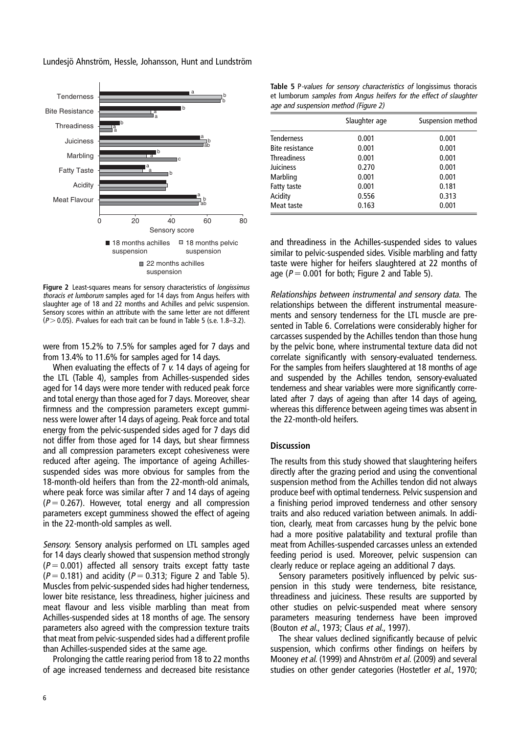

Figure 2 Least-squares means for sensory characteristics of *longissimus* thoracis et lumborum samples aged for 14 days from Angus heifers with slaughter age of 18 and 22 months and Achilles and pelvic suspension. Sensory scores within an attribute with the same letter are not different  $(P > 0.05)$ . P-values for each trait can be found in Table 5 (s.e. 1.8–3.2).

were from 15.2% to 7.5% for samples aged for 7 days and from 13.4% to 11.6% for samples aged for 14 days.

When evaluating the effects of 7 v. 14 days of ageing for the LTL (Table 4), samples from Achilles-suspended sides aged for 14 days were more tender with reduced peak force and total energy than those aged for 7 days. Moreover, shear firmness and the compression parameters except gumminess were lower after 14 days of ageing. Peak force and total energy from the pelvic-suspended sides aged for 7 days did not differ from those aged for 14 days, but shear firmness and all compression parameters except cohesiveness were reduced after ageing. The importance of ageing Achillessuspended sides was more obvious for samples from the 18-month-old heifers than from the 22-month-old animals, where peak force was similar after 7 and 14 days of ageing  $(P = 0.267)$ . However, total energy and all compression parameters except gumminess showed the effect of ageing in the 22-month-old samples as well.

Sensory. Sensory analysis performed on LTL samples aged for 14 days clearly showed that suspension method strongly  $(P = 0.001)$  affected all sensory traits except fatty taste  $(P = 0.181)$  and acidity  $(P = 0.313)$ ; Figure 2 and Table 5). Muscles from pelvic-suspended sides had higher tenderness, lower bite resistance, less threadiness, higher juiciness and meat flavour and less visible marbling than meat from Achilles-suspended sides at 18 months of age. The sensory parameters also agreed with the compression texture traits that meat from pelvic-suspended sides had a different profile than Achilles-suspended sides at the same age.

Prolonging the cattle rearing period from 18 to 22 months of age increased tenderness and decreased bite resistance

Table 5 P-values for sensory characteristics of longissimus thoracis et lumborum samples from Angus heifers for the effect of slaughter age and suspension method (Figure 2)

|                        | Slaughter age | Suspension method |
|------------------------|---------------|-------------------|
| <b>Tenderness</b>      | 0.001         | 0.001             |
| <b>Bite resistance</b> | 0.001         | 0.001             |
| <b>Threadiness</b>     | 0.001         | 0.001             |
| Juiciness              | 0.270         | 0.001             |
| Marbling               | 0.001         | 0.001             |
| Fatty taste            | 0.001         | 0.181             |
| Acidity                | 0.556         | 0.313             |
| Meat taste             | 0.163         | 0.001             |

and threadiness in the Achilles-suspended sides to values similar to pelvic-suspended sides. Visible marbling and fatty taste were higher for heifers slaughtered at 22 months of age ( $P = 0.001$  for both; Figure 2 and Table 5).

Relationships between instrumental and sensory data. The relationships between the different instrumental measurements and sensory tenderness for the LTL muscle are presented in Table 6. Correlations were considerably higher for carcasses suspended by the Achilles tendon than those hung by the pelvic bone, where instrumental texture data did not correlate significantly with sensory-evaluated tenderness. For the samples from heifers slaughtered at 18 months of age and suspended by the Achilles tendon, sensory-evaluated tenderness and shear variables were more significantly correlated after 7 days of ageing than after 14 days of ageing, whereas this difference between ageing times was absent in the 22-month-old heifers.

# **Discussion**

The results from this study showed that slaughtering heifers directly after the grazing period and using the conventional suspension method from the Achilles tendon did not always produce beef with optimal tenderness. Pelvic suspension and a finishing period improved tenderness and other sensory traits and also reduced variation between animals. In addition, clearly, meat from carcasses hung by the pelvic bone had a more positive palatability and textural profile than meat from Achilles-suspended carcasses unless an extended feeding period is used. Moreover, pelvic suspension can clearly reduce or replace ageing an additional 7 days.

Sensory parameters positively influenced by pelvic suspension in this study were tenderness, bite resistance, threadiness and juiciness. These results are supported by other studies on pelvic-suspended meat where sensory parameters measuring tenderness have been improved (Bouton et al., 1973; Claus et al., 1997).

The shear values declined significantly because of pelvic suspension, which confirms other findings on heifers by Mooney et al. (1999) and Ahnström et al. (2009) and several studies on other gender categories (Hostetler et al., 1970;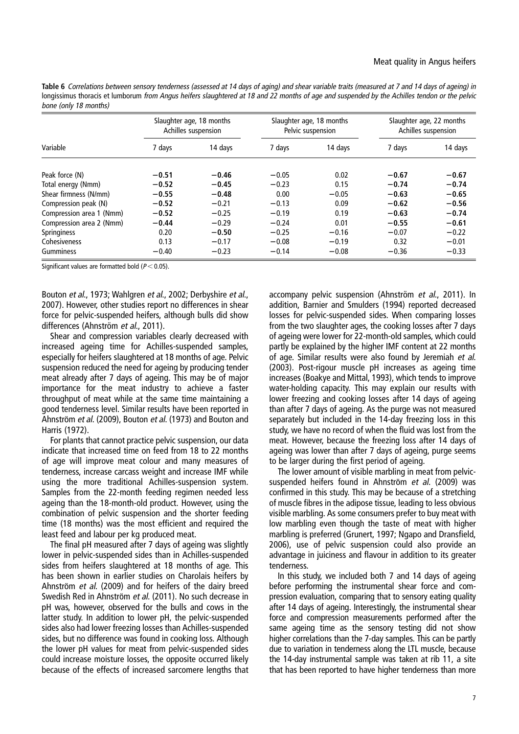Table 6 Correlations between sensory tenderness (assessed at <sup>14</sup> days of aging) and shear variable traits (measured at <sup>7</sup> and <sup>14</sup> days of ageing) in longissimus thoracis et lumborum from Angus heifers slaughtered at 18 and 22 months of age and suspended by the Achilles tendon or the pelvic bone (only 18 months)

| Variable                 | Slaughter age, 18 months<br>Achilles suspension |         | Slaughter age, 18 months<br>Pelvic suspension |         | Slaughter age, 22 months<br>Achilles suspension |         |
|--------------------------|-------------------------------------------------|---------|-----------------------------------------------|---------|-------------------------------------------------|---------|
|                          | 7 days                                          | 14 days | 7 days                                        | 14 days | 7 days                                          | 14 days |
| Peak force (N)           | $-0.51$                                         | $-0.46$ | $-0.05$                                       | 0.02    | $-0.67$                                         | $-0.67$ |
| Total energy (Nmm)       | $-0.52$                                         | $-0.45$ | $-0.23$                                       | 0.15    | $-0.74$                                         | $-0.74$ |
| Shear firmness (N/mm)    | $-0.55$                                         | $-0.48$ | 0.00                                          | $-0.05$ | $-0.63$                                         | $-0.65$ |
| Compression peak (N)     | $-0.52$                                         | $-0.21$ | $-0.13$                                       | 0.09    | $-0.62$                                         | $-0.56$ |
| Compression area 1 (Nmm) | $-0.52$                                         | $-0.25$ | $-0.19$                                       | 0.19    | $-0.63$                                         | $-0.74$ |
| Compression area 2 (Nmm) | $-0.44$                                         | $-0.29$ | $-0.24$                                       | 0.01    | $-0.55$                                         | $-0.61$ |
| <b>Springiness</b>       | 0.20                                            | $-0.50$ | $-0.25$                                       | $-0.16$ | $-0.07$                                         | $-0.22$ |
| Cohesiveness             | 0.13                                            | $-0.17$ | $-0.08$                                       | $-0.19$ | 0.32                                            | $-0.01$ |
| Gumminess                | $-0.40$                                         | $-0.23$ | $-0.14$                                       | $-0.08$ | $-0.36$                                         | $-0.33$ |

Significant values are formatted bold ( $P < 0.05$ ).

Bouton et al., 1973; Wahlgren et al., 2002; Derbyshire et al., 2007). However, other studies report no differences in shear force for pelvic-suspended heifers, although bulls did show differences (Ahnström et al., 2011).

Shear and compression variables clearly decreased with increased ageing time for Achilles-suspended samples, especially for heifers slaughtered at 18 months of age. Pelvic suspension reduced the need for ageing by producing tender meat already after 7 days of ageing. This may be of major importance for the meat industry to achieve a faster throughput of meat while at the same time maintaining a good tenderness level. Similar results have been reported in Ahnström et al. (2009), Bouton et al. (1973) and Bouton and Harris (1972).

For plants that cannot practice pelvic suspension, our data indicate that increased time on feed from 18 to 22 months of age will improve meat colour and many measures of tenderness, increase carcass weight and increase IMF while using the more traditional Achilles-suspension system. Samples from the 22-month feeding regimen needed less ageing than the 18-month-old product. However, using the combination of pelvic suspension and the shorter feeding time (18 months) was the most efficient and required the least feed and labour per kg produced meat.

The final pH measured after 7 days of ageing was slightly lower in pelvic-suspended sides than in Achilles-suspended sides from heifers slaughtered at 18 months of age. This has been shown in earlier studies on Charolais heifers by Ahnström et al. (2009) and for heifers of the dairy breed Swedish Red in Ahnström et al. (2011). No such decrease in pH was, however, observed for the bulls and cows in the latter study. In addition to lower pH, the pelvic-suspended sides also had lower freezing losses than Achilles-suspended sides, but no difference was found in cooking loss. Although the lower pH values for meat from pelvic-suspended sides could increase moisture losses, the opposite occurred likely because of the effects of increased sarcomere lengths that accompany pelvic suspension (Ahnström et al., 2011). In addition, Barnier and Smulders (1994) reported decreased losses for pelvic-suspended sides. When comparing losses from the two slaughter ages, the cooking losses after 7 days of ageing were lower for 22-month-old samples, which could partly be explained by the higher IMF content at 22 months of age. Similar results were also found by Jeremiah et al. (2003). Post-rigour muscle pH increases as ageing time increases (Boakye and Mittal, 1993), which tends to improve water-holding capacity. This may explain our results with lower freezing and cooking losses after 14 days of ageing than after 7 days of ageing. As the purge was not measured separately but included in the 14-day freezing loss in this study, we have no record of when the fluid was lost from the meat. However, because the freezing loss after 14 days of ageing was lower than after 7 days of ageing, purge seems to be larger during the first period of ageing.

The lower amount of visible marbling in meat from pelvicsuspended heifers found in Ahnström et al. (2009) was confirmed in this study. This may be because of a stretching of muscle fibres in the adipose tissue, leading to less obvious visible marbling. As some consumers prefer to buy meat with low marbling even though the taste of meat with higher marbling is preferred (Grunert, 1997; Ngapo and Dransfield, 2006), use of pelvic suspension could also provide an advantage in juiciness and flavour in addition to its greater tenderness.

In this study, we included both 7 and 14 days of ageing before performing the instrumental shear force and compression evaluation, comparing that to sensory eating quality after 14 days of ageing. Interestingly, the instrumental shear force and compression measurements performed after the same ageing time as the sensory testing did not show higher correlations than the 7-day samples. This can be partly due to variation in tenderness along the LTL muscle, because the 14-day instrumental sample was taken at rib 11, a site that has been reported to have higher tenderness than more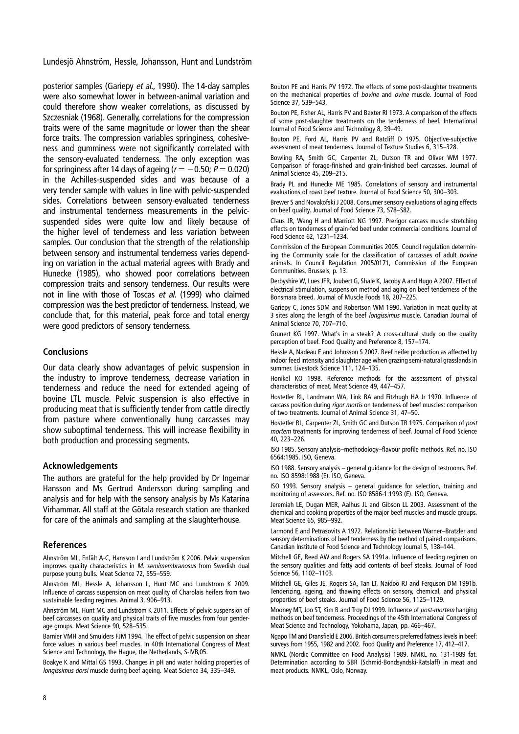posterior samples (Gariepy et al., 1990). The 14-day samples were also somewhat lower in between-animal variation and could therefore show weaker correlations, as discussed by Szczesniak (1968). Generally, correlations for the compression traits were of the same magnitude or lower than the shear force traits. The compression variables springiness, cohesiveness and gumminess were not significantly correlated with the sensory-evaluated tenderness. The only exception was for springiness after 14 days of ageing ( $r = -0.50$ ;  $P = 0.020$ ) in the Achilles-suspended sides and was because of a very tender sample with values in line with pelvic-suspended sides. Correlations between sensory-evaluated tenderness and instrumental tenderness measurements in the pelvicsuspended sides were quite low and likely because of the higher level of tenderness and less variation between samples. Our conclusion that the strength of the relationship between sensory and instrumental tenderness varies depending on variation in the actual material agrees with Brady and Hunecke (1985), who showed poor correlations between compression traits and sensory tenderness. Our results were not in line with those of Toscas et al. (1999) who claimed compression was the best predictor of tenderness. Instead, we conclude that, for this material, peak force and total energy were good predictors of sensory tenderness.

## **Conclusions**

Our data clearly show advantages of pelvic suspension in the industry to improve tenderness, decrease variation in tenderness and reduce the need for extended ageing of bovine LTL muscle. Pelvic suspension is also effective in producing meat that is sufficiently tender from cattle directly from pasture where conventionally hung carcasses may show suboptimal tenderness. This will increase flexibility in both production and processing segments.

## Acknowledgements

The authors are grateful for the help provided by Dr Ingemar Hansson and Ms Gertrud Andersson during sampling and analysis and for help with the sensory analysis by Ms Katarina Virhammar. All staff at the Götala research station are thanked for care of the animals and sampling at the slaughterhouse.

## References

Ahnström ML, Enfält A-C, Hansson I and Lundström K 2006. Pelvic suspension improves quality characteristics in M. semimembranosus from Swedish dual purpose young bulls. Meat Science 72, 555–559.

Ahnström ML, Hessle A, Johansson L, Hunt MC and Lundstrom K 2009. Influence of carcass suspension on meat quality of Charolais heifers from two sustainable feeding regimes. Animal 3, 906–913.

Ahnström ML, Hunt MC and Lundström K 2011. Effects of pelvic suspension of beef carcasses on quality and physical traits of five muscles from four genderage groups. Meat Science 90, 528–535.

Barnier VMH and Smulders FJM 1994. The effect of pelvic suspension on shear force values in various beef muscles. In 40th International Congress of Meat Science and Technology, the Hague, the Netherlands, S-IVB,05.

Boakye K and Mittal GS 1993. Changes in pH and water holding properties of longissimus dorsi muscle during beef ageing. Meat Science 34, 335–349.

Bouton PE and Harris PV 1972. The effects of some post-slaughter treatments on the mechanical properties of bovine and ovine muscle. Journal of Food Science 37, 539–543.

Bouton PE, Fisher AL, Harris PV and Baxter RI 1973. A comparison of the effects of some post-slaughter treatments on the tenderness of beef. International Journal of Food Science and Technology 8, 39–49.

Bouton PE, Ford AL, Harris PV and Ratcliff D 1975. Objective-subjective assessment of meat tenderness. Journal of Texture Studies 6, 315–328.

Bowling RA, Smith GC, Carpenter ZL, Dutson TR and Oliver WM 1977. Comparison of forage-finished and grain-finished beef carcasses. Journal of Animal Science 45, 209–215.

Brady PL and Hunecke ME 1985. Correlations of sensory and instrumental evaluations of roast beef texture. Journal of Food Science 50, 300–303.

Brewer S and Novakofski J 2008. Consumer sensory evaluations of aging effects on beef quality. Journal of Food Science 73, S78–S82.

Claus JR, Wang H and Marriott NG 1997. Prerigor carcass muscle stretching effects on tenderness of grain-fed beef under commercial conditions. Journal of Food Science 62, 1231–1234.

Commission of the European Communities 2005. Council regulation determining the Community scale for the classification of carcasses of adult bovine animals. In Council Regulation 2005/0171, Commission of the European Communities, Brussels, p. 13.

Derbyshire W, Lues JFR, Joubert G, Shale K, Jacoby A and Hugo A 2007. Effect of electrical stimulation, suspension method and aging on beef tenderness of the Bonsmara breed. Journal of Muscle Foods 18, 207–225.

Gariepy C, Jones SDM and Robertson WM 1990. Variation in meat quality at 3 sites along the length of the beef longissimus muscle. Canadian Journal of Animal Science 70, 707–710.

Grunert KG 1997. What's in a steak? A cross-cultural study on the quality perception of beef. Food Quality and Preference 8, 157–174.

Hessle A, Nadeau E and Johnsson S 2007. Beef heifer production as affected by indoor feed intensity and slaughter age when grazing semi-natural grasslands in summer. Livestock Science 111, 124–135.

Honikel KO 1998. Reference methods for the assessment of physical characteristics of meat. Meat Science 49, 447–457.

Hostetler RL, Landmann WA, Link BA and Fitzhugh HA Jr 1970. Influence of carcass position during rigor mortis on tenderness of beef muscles: comparison of two treatments. Journal of Animal Science 31, 47–50.

Hostetler RL, Carpenter ZL, Smith GC and Dutson TR 1975. Comparison of post mortem treatments for improving tenderness of beef. Journal of Food Science 40, 223–226.

ISO 1985. Sensory analysis–methodology–flavour profile methods. Ref. no. ISO 6564:1985. ISO, Geneva.

ISO 1988. Sensory analysis – general guidance for the design of testrooms. Ref. no. ISO 8598:1988 (E). ISO, Geneva.

ISO 1993. Sensory analysis – general guidance for selection, training and monitoring of assessors. Ref. no. ISO 8586-1:1993 (E). ISO, Geneva.

Jeremiah LE, Dugan MER, Aalhus JL and Gibson LL 2003. Assessment of the chemical and cooking properties of the major beef muscles and muscle groups. Meat Science 65, 985–992.

Larmond E and Petrasovits A 1972. Relationship between Warner–Bratzler and sensory determinations of beef tenderness by the method of paired comparisons. Canadian Institute of Food Science and Technology Journal 5, 138–144.

Mitchell GE, Reed AW and Rogers SA 1991a. Influence of feeding regimen on the sensory qualities and fatty acid contents of beef steaks. Journal of Food Science 56, 1102–1103.

Mitchell GE, Giles JE, Rogers SA, Tan LT, Naidoo RJ and Ferguson DM 1991b. Tenderizing, ageing, and thawing effects on sensory, chemical, and physical properties of beef steaks. Journal of Food Science 56, 1125–1129.

Mooney MT, Joo ST, Kim B and Troy DJ 1999. Influence of post-mortem hanging methods on beef tenderness. Proceedings of the 45th International Congress of Meat Science and Technology, Yokohama, Japan, pp. 466–467.

Ngapo TM and Dransfield E 2006. British consumers preferred fatness levels in beef: surveys from 1955, 1982 and 2002. Food Quality and Preference 17, 412–417.

NMKL (Nordic Committee on Food Analysis) 1989. NMKL no. 131-1989 fat. Determination according to SBR (Schmid-Bondsyndski-Ratslaff) in meat and meat products. NMKL, Oslo, Norway.